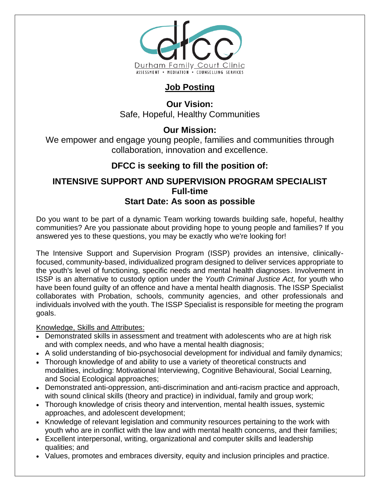

# **Job Posting**

**Our Vision:** Safe, Hopeful, Healthy Communities

# **Our Mission:**

We empower and engage young people, families and communities through collaboration, innovation and excellence.

# **DFCC is seeking to fill the position of:**

## **INTENSIVE SUPPORT AND SUPERVISION PROGRAM SPECIALIST Full-time Start Date: As soon as possible**

Do you want to be part of a dynamic Team working towards building safe, hopeful, healthy communities? Are you passionate about providing hope to young people and families? If you answered yes to these questions, you may be exactly who we're looking for!

The Intensive Support and Supervision Program (ISSP) provides an intensive, clinicallyfocused, community-based, individualized program designed to deliver services appropriate to the youth's level of functioning, specific needs and mental health diagnoses. Involvement in ISSP is an alternative to custody option under the *Youth Criminal Justice Act,* for youth who have been found guilty of an offence and have a mental health diagnosis. The ISSP Specialist collaborates with Probation, schools, community agencies, and other professionals and individuals involved with the youth. The ISSP Specialist is responsible for meeting the program goals.

## Knowledge, Skills and Attributes:

- Demonstrated skills in assessment and treatment with adolescents who are at high risk and with complex needs, and who have a mental health diagnosis;
- A solid understanding of bio-psychosocial development for individual and family dynamics;
- Thorough knowledge of and ability to use a variety of theoretical constructs and modalities, including: Motivational Interviewing, Cognitive Behavioural, Social Learning, and Social Ecological approaches;
- Demonstrated anti-oppression, anti-discrimination and anti-racism practice and approach, with sound clinical skills (theory and practice) in individual, family and group work;
- Thorough knowledge of crisis theory and intervention, mental health issues, systemic approaches, and adolescent development;
- Knowledge of relevant legislation and community resources pertaining to the work with youth who are in conflict with the law and with mental health concerns, and their families;
- Excellent interpersonal, writing, organizational and computer skills and leadership qualities; and
- Values, promotes and embraces diversity, equity and inclusion principles and practice.